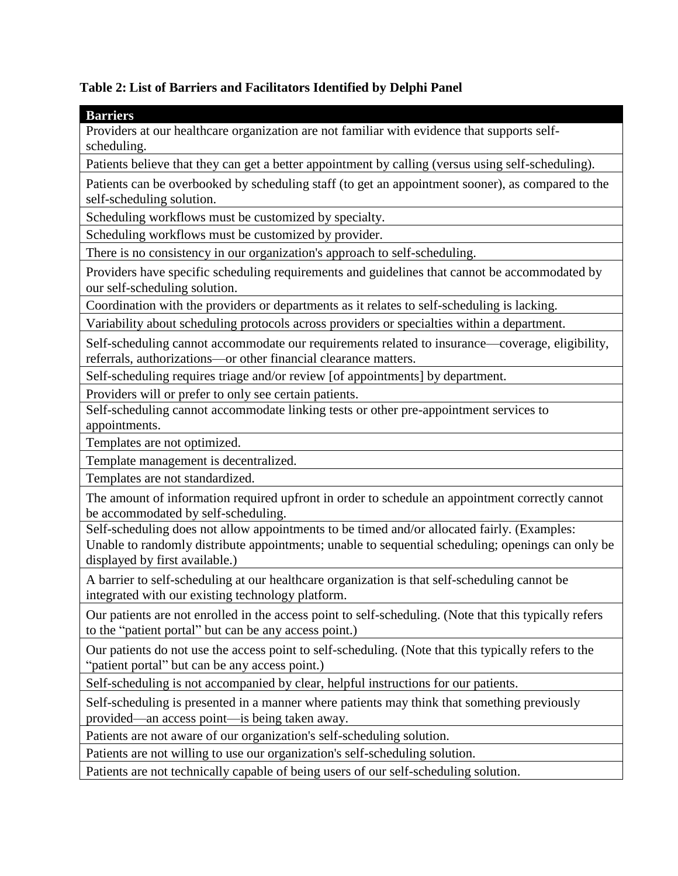## **Table 2: List of Barriers and Facilitators Identified by Delphi Panel**

## **Barriers**

Providers at our healthcare organization are not familiar with evidence that supports selfscheduling.

Patients believe that they can get a better appointment by calling (versus using self-scheduling).

Patients can be overbooked by scheduling staff (to get an appointment sooner), as compared to the self-scheduling solution.

Scheduling workflows must be customized by specialty.

Scheduling workflows must be customized by provider.

There is no consistency in our organization's approach to self-scheduling.

Providers have specific scheduling requirements and guidelines that cannot be accommodated by our self-scheduling solution.

Coordination with the providers or departments as it relates to self-scheduling is lacking.

Variability about scheduling protocols across providers or specialties within a department.

Self-scheduling cannot accommodate our requirements related to insurance—coverage, eligibility, referrals, authorizations—or other financial clearance matters.

Self-scheduling requires triage and/or review [of appointments] by department.

Providers will or prefer to only see certain patients.

Self-scheduling cannot accommodate linking tests or other pre-appointment services to appointments.

Templates are not optimized.

Template management is decentralized.

Templates are not standardized.

The amount of information required upfront in order to schedule an appointment correctly cannot be accommodated by self-scheduling.

Self-scheduling does not allow appointments to be timed and/or allocated fairly. (Examples: Unable to randomly distribute appointments; unable to sequential scheduling; openings can only be displayed by first available.)

A barrier to self-scheduling at our healthcare organization is that self-scheduling cannot be integrated with our existing technology platform.

Our patients are not enrolled in the access point to self-scheduling. (Note that this typically refers to the "patient portal" but can be any access point.)

Our patients do not use the access point to self-scheduling. (Note that this typically refers to the "patient portal" but can be any access point.)

Self-scheduling is not accompanied by clear, helpful instructions for our patients.

Self-scheduling is presented in a manner where patients may think that something previously provided—an access point—is being taken away.

Patients are not aware of our organization's self-scheduling solution.

Patients are not willing to use our organization's self-scheduling solution.

Patients are not technically capable of being users of our self-scheduling solution.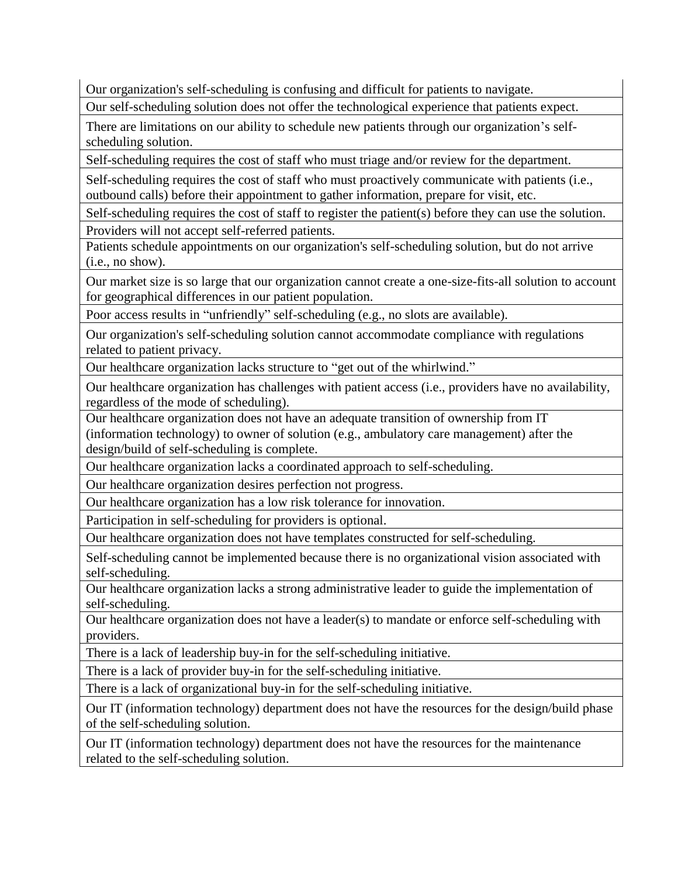Our organization's self-scheduling is confusing and difficult for patients to navigate.

Our self-scheduling solution does not offer the technological experience that patients expect.

There are limitations on our ability to schedule new patients through our organization's selfscheduling solution.

Self-scheduling requires the cost of staff who must triage and/or review for the department.

Self-scheduling requires the cost of staff who must proactively communicate with patients (i.e., outbound calls) before their appointment to gather information, prepare for visit, etc.

Self-scheduling requires the cost of staff to register the patient(s) before they can use the solution. Providers will not accept self-referred patients.

Patients schedule appointments on our organization's self-scheduling solution, but do not arrive (i.e., no show).

Our market size is so large that our organization cannot create a one-size-fits-all solution to account for geographical differences in our patient population.

Poor access results in "unfriendly" self-scheduling (e.g., no slots are available).

Our organization's self-scheduling solution cannot accommodate compliance with regulations related to patient privacy.

Our healthcare organization lacks structure to "get out of the whirlwind."

Our healthcare organization has challenges with patient access (i.e., providers have no availability, regardless of the mode of scheduling).

Our healthcare organization does not have an adequate transition of ownership from IT (information technology) to owner of solution (e.g., ambulatory care management) after the design/build of self-scheduling is complete.

Our healthcare organization lacks a coordinated approach to self-scheduling.

Our healthcare organization desires perfection not progress.

Our healthcare organization has a low risk tolerance for innovation.

Participation in self-scheduling for providers is optional.

Our healthcare organization does not have templates constructed for self-scheduling.

Self-scheduling cannot be implemented because there is no organizational vision associated with self-scheduling.

Our healthcare organization lacks a strong administrative leader to guide the implementation of self-scheduling.

Our healthcare organization does not have a leader(s) to mandate or enforce self-scheduling with providers.

There is a lack of leadership buy-in for the self-scheduling initiative.

There is a lack of provider buy-in for the self-scheduling initiative.

There is a lack of organizational buy-in for the self-scheduling initiative.

Our IT (information technology) department does not have the resources for the design/build phase of the self-scheduling solution.

Our IT (information technology) department does not have the resources for the maintenance related to the self-scheduling solution.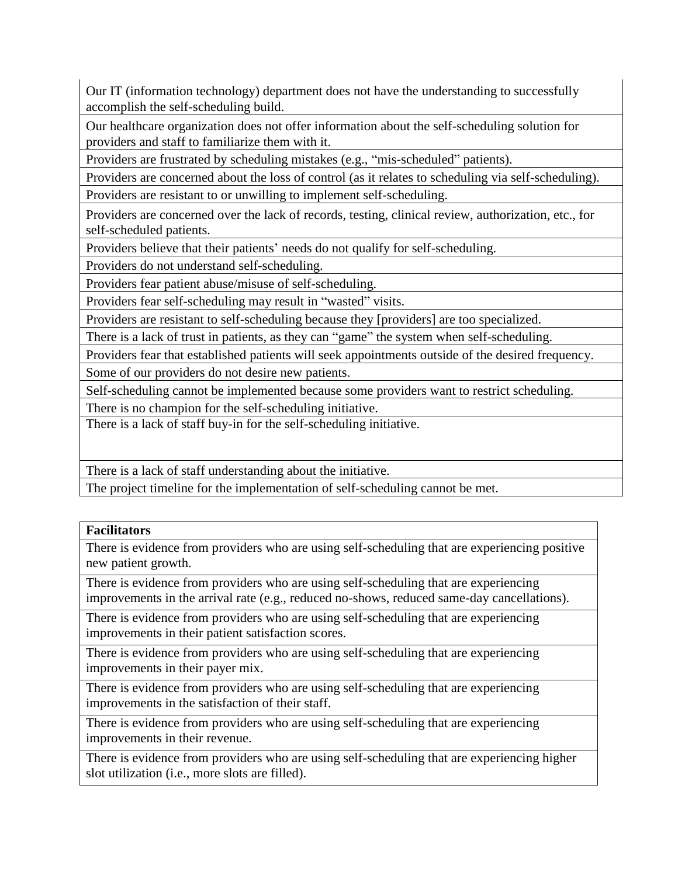Our IT (information technology) department does not have the understanding to successfully accomplish the self-scheduling build.

Our healthcare organization does not offer information about the self-scheduling solution for providers and staff to familiarize them with it.

Providers are frustrated by scheduling mistakes (e.g., "mis-scheduled" patients).

Providers are concerned about the loss of control (as it relates to scheduling via self-scheduling).

Providers are resistant to or unwilling to implement self-scheduling.

Providers are concerned over the lack of records, testing, clinical review, authorization, etc., for self-scheduled patients.

Providers believe that their patients' needs do not qualify for self-scheduling.

Providers do not understand self-scheduling.

Providers fear patient abuse/misuse of self-scheduling.

Providers fear self-scheduling may result in "wasted" visits.

Providers are resistant to self-scheduling because they [providers] are too specialized.

There is a lack of trust in patients, as they can "game" the system when self-scheduling.

Providers fear that established patients will seek appointments outside of the desired frequency. Some of our providers do not desire new patients.

Self-scheduling cannot be implemented because some providers want to restrict scheduling.

There is no champion for the self-scheduling initiative.

There is a lack of staff buy-in for the self-scheduling initiative.

There is a lack of staff understanding about the initiative.

The project timeline for the implementation of self-scheduling cannot be met.

## **Facilitators**

There is evidence from providers who are using self-scheduling that are experiencing positive new patient growth.

There is evidence from providers who are using self-scheduling that are experiencing improvements in the arrival rate (e.g., reduced no-shows, reduced same-day cancellations).

There is evidence from providers who are using self-scheduling that are experiencing improvements in their patient satisfaction scores.

There is evidence from providers who are using self-scheduling that are experiencing improvements in their payer mix.

There is evidence from providers who are using self-scheduling that are experiencing improvements in the satisfaction of their staff.

There is evidence from providers who are using self-scheduling that are experiencing improvements in their revenue.

There is evidence from providers who are using self-scheduling that are experiencing higher slot utilization (i.e., more slots are filled).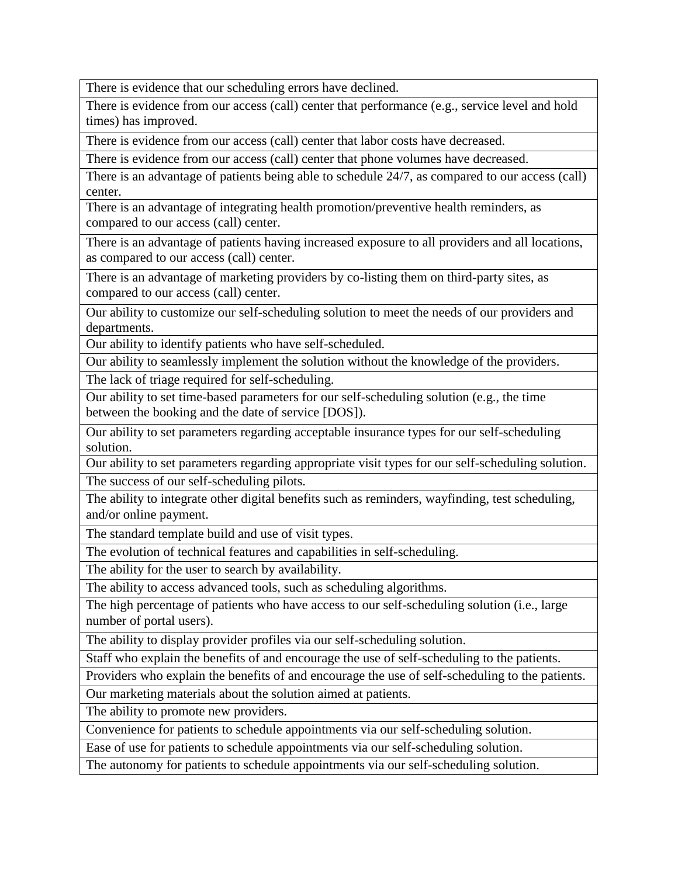There is evidence that our scheduling errors have declined.

There is evidence from our access (call) center that performance (e.g., service level and hold times) has improved.

There is evidence from our access (call) center that labor costs have decreased.

There is evidence from our access (call) center that phone volumes have decreased.

There is an advantage of patients being able to schedule 24/7, as compared to our access (call) center.

There is an advantage of integrating health promotion/preventive health reminders, as compared to our access (call) center.

There is an advantage of patients having increased exposure to all providers and all locations, as compared to our access (call) center.

There is an advantage of marketing providers by co-listing them on third-party sites, as compared to our access (call) center.

Our ability to customize our self-scheduling solution to meet the needs of our providers and departments.

Our ability to identify patients who have self-scheduled.

Our ability to seamlessly implement the solution without the knowledge of the providers.

The lack of triage required for self-scheduling.

Our ability to set time-based parameters for our self-scheduling solution (e.g., the time between the booking and the date of service [DOS]).

Our ability to set parameters regarding acceptable insurance types for our self-scheduling solution.

Our ability to set parameters regarding appropriate visit types for our self-scheduling solution. The success of our self-scheduling pilots.

The ability to integrate other digital benefits such as reminders, wayfinding, test scheduling, and/or online payment.

The standard template build and use of visit types.

The evolution of technical features and capabilities in self-scheduling.

The ability for the user to search by availability.

The ability to access advanced tools, such as scheduling algorithms.

The high percentage of patients who have access to our self-scheduling solution (i.e., large number of portal users).

The ability to display provider profiles via our self-scheduling solution.

Staff who explain the benefits of and encourage the use of self-scheduling to the patients.

Providers who explain the benefits of and encourage the use of self-scheduling to the patients.

Our marketing materials about the solution aimed at patients.

The ability to promote new providers.

Convenience for patients to schedule appointments via our self-scheduling solution.

Ease of use for patients to schedule appointments via our self-scheduling solution.

The autonomy for patients to schedule appointments via our self-scheduling solution.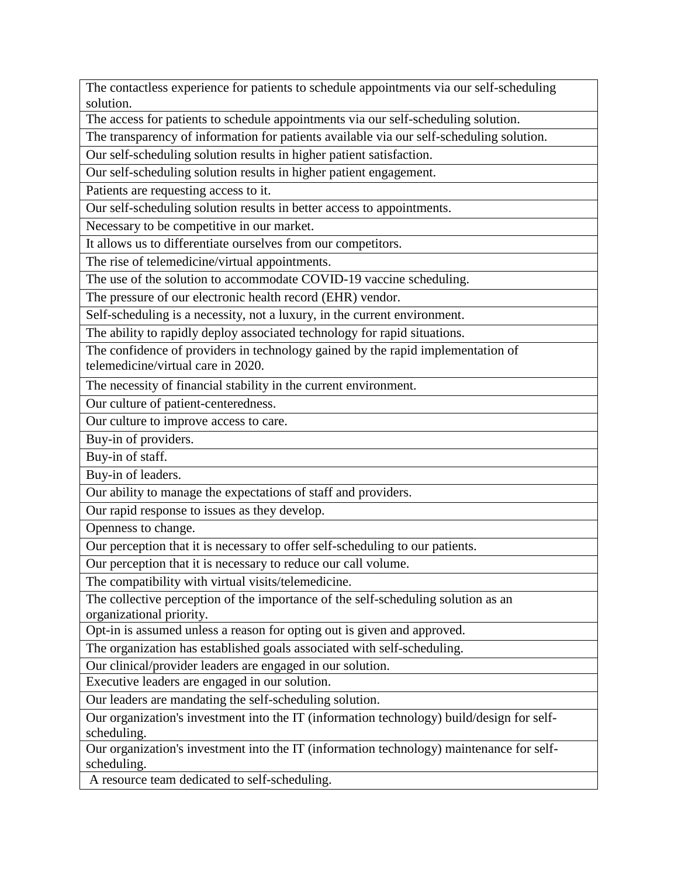The contactless experience for patients to schedule appointments via our self-scheduling solution.

The access for patients to schedule appointments via our self-scheduling solution.

The transparency of information for patients available via our self-scheduling solution.

Our self-scheduling solution results in higher patient satisfaction.

Our self-scheduling solution results in higher patient engagement.

Patients are requesting access to it.

Our self-scheduling solution results in better access to appointments.

Necessary to be competitive in our market.

It allows us to differentiate ourselves from our competitors.

The rise of telemedicine/virtual appointments.

The use of the solution to accommodate COVID-19 vaccine scheduling.

The pressure of our electronic health record (EHR) vendor.

Self-scheduling is a necessity, not a luxury, in the current environment.

The ability to rapidly deploy associated technology for rapid situations.

The confidence of providers in technology gained by the rapid implementation of telemedicine/virtual care in 2020.

The necessity of financial stability in the current environment.

Our culture of patient-centeredness.

Our culture to improve access to care.

Buy-in of providers.

Buy-in of staff.

Buy-in of leaders.

Our ability to manage the expectations of staff and providers.

Our rapid response to issues as they develop.

Openness to change.

Our perception that it is necessary to offer self-scheduling to our patients.

Our perception that it is necessary to reduce our call volume.

The compatibility with virtual visits/telemedicine.

The collective perception of the importance of the self-scheduling solution as an organizational priority.

Opt-in is assumed unless a reason for opting out is given and approved.

The organization has established goals associated with self-scheduling.

Our clinical/provider leaders are engaged in our solution.

Executive leaders are engaged in our solution.

Our leaders are mandating the self-scheduling solution.

Our organization's investment into the IT (information technology) build/design for selfscheduling.

Our organization's investment into the IT (information technology) maintenance for selfscheduling.

A resource team dedicated to self-scheduling.